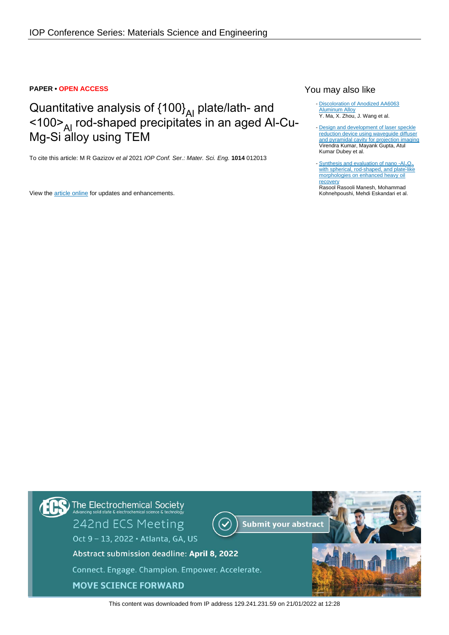### **PAPER • OPEN ACCESS**

## Quantitative analysis of {100}<sub>Al</sub> plate/lath- and <100><sub>Al</sub> rod-shaped precipitates in an aged Al-Cu-Mg-Si alloy using TEM

To cite this article: M R Gazizov et al 2021 IOP Conf. Ser.: Mater. Sci. Eng. **1014** 012013

View the [article online](https://doi.org/10.1088/1757-899X/1014/1/012013) for updates and enhancements.

## You may also like

- [Discoloration of Anodized AA6063](https://iopscience.iop.org/article/10.1149/2.065406jes) [Aluminum Alloy](https://iopscience.iop.org/article/10.1149/2.065406jes) Y. Ma, X. Zhou, J. Wang et al.

- [Design and development of laser speckle](https://iopscience.iop.org/article/10.1088/2040-8986/abb41b) [reduction device using waveguide diffuser](https://iopscience.iop.org/article/10.1088/2040-8986/abb41b) [and pyramidal cavity for projection imaging](https://iopscience.iop.org/article/10.1088/2040-8986/abb41b) Virendra Kumar, Mayank Gupta, Atul Kumar Dubey et al.

- [Synthesis and evaluation of nano](https://iopscience.iop.org/article/10.1088/2053-1591/aa8d33) [-Al](https://iopscience.iop.org/article/10.1088/2053-1591/aa8d33)<sub>2</sub>[O](https://iopscience.iop.org/article/10.1088/2053-1591/aa8d33)<sub>3</sub> [with spherical, rod-shaped, and plate-like](https://iopscience.iop.org/article/10.1088/2053-1591/aa8d33) [morphologies on enhanced heavy oil](https://iopscience.iop.org/article/10.1088/2053-1591/aa8d33) **[recovery](https://iopscience.iop.org/article/10.1088/2053-1591/aa8d33)** Rasool Rasooli Manesh, Mohammad

Kohnehpoushi, Mehdi Eskandari et al.

The Electrochemical Society<br>Advancing solid state & electrochemical science & technology 242nd ECS Meeting **Submit your abstract** Oct 9 - 13, 2022 · Atlanta, GA, US Abstract submission deadline: April 8, 2022 Connect. Engage. Champion. Empower. Accelerate. **MOVE SCIENCE FORWARD** 

This content was downloaded from IP address 129.241.231.59 on 21/01/2022 at 12:28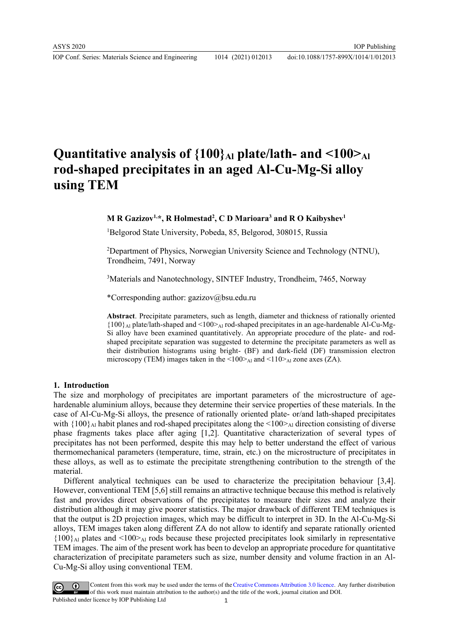IOP Conf. Series: Materials Science and Engineering 1014 (2021) 012013

# **Quantitative analysis of {100}Al plate/lath- and <100>Al rod-shaped precipitates in an aged Al-Cu-Mg-Si alloy using TEM**

#### **M R Gazizov1,\*, R Holmestad<sup>2</sup> , C D Marioara<sup>3</sup> and R O Kaibyshev<sup>1</sup>**

<sup>1</sup>Belgorod State University, Pobeda, 85, Belgorod, 308015, Russia

<sup>2</sup>Department of Physics, Norwegian University Science and Technology (NTNU), Trondheim, 7491, Norway

<sup>3</sup>Materials and Nanotechnology, SINTEF Industry, Trondheim, 7465, Norway

\*Corresponding author: gazizov@bsu.edu.ru

**Abstract**. Precipitate parameters, such as length, diameter and thickness of rationally oriented  ${100}_{\text{Al}}$  plate/lath-shaped and  ${100}_{\text{Al}}$  rod-shaped precipitates in an age-hardenable Al-Cu-Mg-Si alloy have been examined quantitatively. An appropriate procedure of the plate- and rodshaped precipitate separation was suggested to determine the precipitate parameters as well as their distribution histograms using bright- (BF) and dark-field (DF) transmission electron microscopy (TEM) images taken in the  $\langle 100 \rangle$  and  $\langle 110 \rangle$  and zone axes (ZA).

#### **1. Introduction**

The size and morphology of precipitates are important parameters of the microstructure of agehardenable aluminium alloys, because they determine their service properties of these materials. In the case of Al-Cu-Mg-Si alloys, the presence of rationally oriented plate- or/and lath-shaped precipitates with  ${100}_{\text{Al}}$  habit planes and rod-shaped precipitates along the  ${100}_{\text{Al}}$  direction consisting of diverse phase fragments takes place after aging [1,2]. Quantitative characterization of several types of precipitates has not been performed, despite this may help to better understand the effect of various thermomechanical parameters (temperature, time, strain, etc.) on the microstructure of precipitates in these alloys, as well as to estimate the precipitate strengthening contribution to the strength of the material.

Different analytical techniques can be used to characterize the precipitation behaviour [3,4]. However, conventional TEM [5,6] still remains an attractive technique because this method is relatively fast and provides direct observations of the precipitates to measure their sizes and analyze their distribution although it may give poorer statistics. The major drawback of different TEM techniques is that the output is 2D projection images, which may be difficult to interpret in 3D. In the Al-Cu-Mg-Si alloys, TEM images taken along different ZA do not allow to identify and separate rationally oriented  ${100}_{AA}$  plates and  ${100}_{AA}$  rods because these projected precipitates look similarly in representative TEM images. The aim of the present work has been to develop an appropriate procedure for quantitative characterization of precipitate parameters such as size, number density and volume fraction in an Al-Cu-Mg-Si alloy using conventional TEM.

Content from this work may be used under the terms of theCreative Commons Attribution 3.0 licence. Any further distribution of this work must maintain attribution to the author(s) and the title of the work, journal citation and DOI. Published under licence by IOP Publishing Ltd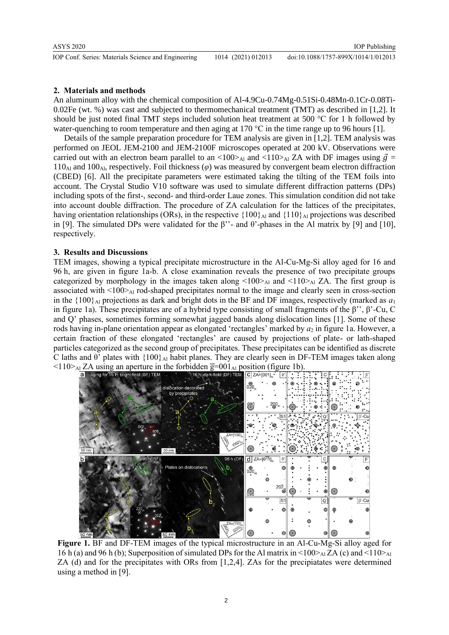| IOP Conf. Series: Materials Science and Engineering | 1014 (2021) 012013 | doi:10.1088/1757-899X/1014/1/012013 |
|-----------------------------------------------------|--------------------|-------------------------------------|

IOP Publishing

#### **2. Materials and methods**

An aluminum alloy with the chemical composition of Al-4.9Cu-0.74Mg-0.51Si-0.48Mn-0.1Cr-0.08Ti-0.02Fe (wt. %) was cast and subjected to thermomechanical treatment (TMT) as described in [1,2]. It should be just noted final TMT steps included solution heat treatment at 500 °C for 1 h followed by water-quenching to room temperature and then aging at 170  $\degree$ C in the time range up to 96 hours [1].

Details of the sample preparation procedure for TEM analysis are given in [1,2]. TEM analysis was performed on JEOL JEM-2100 and JEM-2100F microscopes operated at 200 kV. Observations were carried out with an electron beam parallel to an <100 $>$ Al and <110 $>$ Al ZA with DF images using  $\vec{g}$  = 110Al and 100Al, respectively. Foil thickness (*φ*) was measured by convergent beam electron diffraction (CBED) [6]. All the precipitate parameters were estimated taking the tilting of the TEM foils into account. The Crystal Studio V10 software was used to simulate different diffraction patterns (DPs) including spots of the first-, second- and third-order Laue zones. This simulation condition did not take into account double diffraction. The procedure of ZA calculation for the lattices of the precipitates, having orientation relationships (ORs), in the respective  $\{100\}_{\text{Al}}$  and  $\{110\}_{\text{Al}}$  projections was described in [9]. The simulated DPs were validated for the β''- and θ'-phases in the Al matrix by [9] and [10], respectively.

#### **3. Results and Discussions**

TEM images, showing a typical precipitate microstructure in the Al-Cu-Mg-Si alloy aged for 16 and 96 h, are given in figure 1a-b. A close examination reveals the presence of two precipitate groups categorized by morphology in the images taken along  $\leq 100$ <sub>Al</sub> and  $\leq 110$ <sub>Al</sub> ZA. The first group is associated with  $\leq 100$  $>$ <sub>Al</sub> rod-shaped precipitates normal to the image and clearly seen in cross-section in the  ${100}_{\text{Al}}$  projections as dark and bright dots in the BF and DF images, respectively (marked as  $a_1$ ) in figure 1a). These precipitates are of a hybrid type consisting of small fragments of the β'', β'-Cu, C and Q' phases, sometimes forming somewhat jagged bands along dislocation lines [1]. Some of these rods having in-plane orientation appear as elongated 'rectangles' marked by  $a_2$  in figure 1a. However, a certain fraction of these elongated 'rectangles' are caused by projections of plate- or lath-shaped particles categorized as the second group of precipitates. These precipitates can be identified as discrete C laths and  $\theta$ ' plates with  $\{100\}$ <sub>Al</sub> habit planes. They are clearly seen in DF-TEM images taken along  $110 >_{A1} ZA$  using an aperture in the forbidden  $\overline{g=001}_{A1}$  position (figure 1b)



**Figure 1.** BF and DF-TEM images of the typical microstructure in an Al-Cu-Mg-Si alloy aged for 16 h (a) and 96 h (b); Superposition of simulated DPs for the Al matrix in  $\langle 100 \rangle_{Al} ZA$  (c) and  $\langle 110 \rangle_{Al}$ ZA (d) and for the precipitates with ORs from [1,2,4]. ZAs for the precipiatates were determined using a method in [9].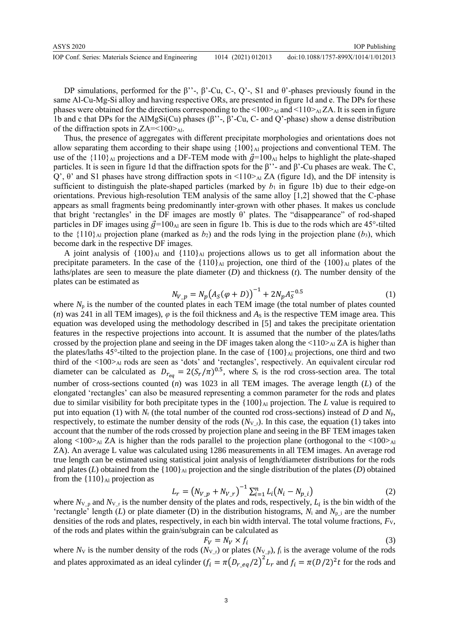DP simulations, performed for the β''-, β'-Cu, C-, Q'-, S1 and  $\theta$ '-phases previously found in the same Al-Cu-Mg-Si alloy and having respective ORs, are presented in figure 1d and e. The DPs for these phases were obtained for the directions corresponding to the  $\leq 100$ <sub>Al</sub> and  $\leq 110$ <sub>Al</sub> ZA. It is seen in figure 1b and c that DPs for the AlMgSi(Cu) phases (β''-, β'-Cu, C- and Q'-phase) show a dense distribution of the diffraction spots in  $ZA = 100$ <sub>Al</sub>.

Thus, the presence of aggregates with different precipitate morphologies and orientations does not allow separating them according to their shape using  $\{100\}$  al projections and conventional TEM. The use of the  $\{110\}$ Al projections and a DF-TEM mode with  $\vec{g}=100$ Al helps to highlight the plate-shaped particles. It is seen in figure 1d that the diffraction spots for the β''- and β'-Cu phases are weak. The C,  $Q'$ ,  $\theta'$  and S1 phases have strong diffraction spots in <110><sub>Al</sub> ZA (figure 1d), and the DF intensity is sufficient to distinguish the plate-shaped particles (marked by  $b_1$  in figure 1b) due to their edge-on orientations. Previous high-resolution TEM analysis of the same alloy [1,2] showed that the C-phase appears as small fragments being predominantly inter-grown with other phases. It makes us conclude that bright 'rectangles' in the DF images are mostly θ' plates. The "disappearance" of rod-shaped particles in DF images using  $\vec{g}$ =100<sub>Al</sub> are seen in figure 1b. This is due to the rods which are 45°-tilted to the  $\{110\}_{\text{Al}}$  projection plane (marked as *b*<sub>2</sub>) and the rods lying in the projection plane (*b*<sub>3</sub>), which become dark in the respective DF images.

A joint analysis of  ${100}_{A1}$  and  ${110}_{A1}$  projections allows us to get all information about the precipitate parameters. In the case of the  $\{110\}_A$  projection, one third of the  $\{100\}_A$  plates of the laths/plates are seen to measure the plate diameter (*D*) and thickness (*t*). The number density of the plates can be estimated as

$$
N_{V\_p} = N_p (A_S(\varphi + D))^{-1} + 2N_p A_S^{-0.5}
$$
 (1)

where  $N_p$  is the number of the counted plates in each TEM image (the total number of plates counted (*n*) was 241 in all TEM images),  $\varphi$  is the foil thickness and  $A_S$  is the respective TEM image area. This equation was developed using the methodology described in [5] and takes the precipitate orientation features in the respective projections into account. It is assumed that the number of the plates/laths crossed by the projection plane and seeing in the DF images taken along the  $\langle 110 \rangle_{Al}$  ZA is higher than the plates/laths  $45^{\circ}$ -tilted to the projection plane. In the case of  $\{100\}$ <sub>Al</sub> projections, one third and two third of the <100>Al rods are seen as 'dots' and 'rectangles', respectively. An equivalent circular rod diameter can be calculated as  $D_{r_{eq}} = 2(S_r/\pi)^{0.5}$ , where  $S_r$  is the rod cross-section area. The total number of cross-sections counted (*n*) was 1023 in all TEM images. The average length (*L*) of the elongated 'rectangles' can also be measured representing a common parameter for the rods and plates due to similar visibility for both precipitate types in the  $\{100\}$ <sup>Al</sup> projection. The *L* value is required to put into equation (1) with  $N_r$  (the total number of the counted rod cross-sections) instead of *D* and  $N_p$ , respectively, to estimate the number density of the rods  $(N_{V,r})$ . In this case, the equation (1) takes into account that the number of the rods crossed by projection plane and seeing in the BF TEM images taken along  $\langle 100 \rangle$ <sub>Al</sub> ZA is higher than the rods parallel to the projection plane (orthogonal to the  $\langle 100 \rangle$ <sub>Al</sub> ZA). An average L value was calculated using 1286 measurements in all TEM images. An average rod true length can be estimated using statistical joint analysis of length/diameter distributions for the rods and plates (*L*) obtained from the  ${100}$ <sub>Al</sub> projection and the single distribution of the plates (*D*) obtained from the  $\{110\}$ <sub>Al</sub> projection as

$$
L_r = (N_{V\_p} + N_{V\_r})^{-1} \sum_{i=1}^{n} L_i (N_i - N_{p\_i})
$$
\n(2)

where  $N_{V_p}$  and  $N_{V_r}$  is the number density of the plates and rods, respectively,  $L_i$  is the bin width of the 'rectangle' length (*L*) or plate diameter (D) in the distribution histograms,  $N_i$  and  $N_p$  i are the number densities of the rods and plates, respectively, in each bin width interval. The total volume fractions, *F*V, of the rods and plates within the grain/subgrain can be calculated as

$$
F_V = N_V \times f_i \tag{3}
$$

where  $N_V$  is the number density of the rods  $(N_{V_r})$  or plates  $(N_{V_r})$ ,  $f_i$  is the average volume of the rods and plates approximated as an ideal cylinder  $(f_i = \pi (D_{r\_eq}/2)^2 L_r$  and  $f_i = \pi (D/2)^2 t$  for the rods and